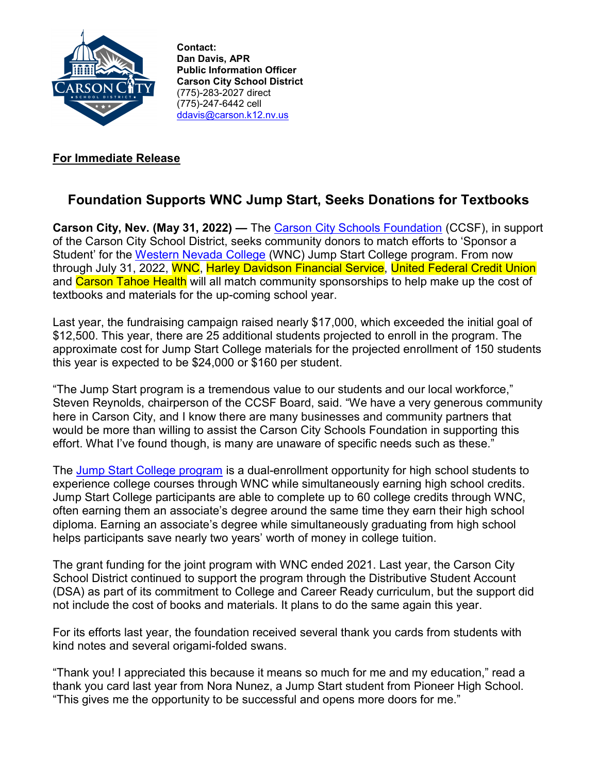

Contact: Dan Davis, APR Public Information Officer Carson City School District (775)-283-2027 direct (775)-247-6442 cell ddavis@carson.k12.nv.us

## For Immediate Release

## Foundation Supports WNC Jump Start, Seeks Donations for Textbooks

Carson City, Nev. (May 31, 2022) — The Carson City Schools Foundation (CCSF), in support of the Carson City School District, seeks community donors to match efforts to 'Sponsor a Student' for the Western Nevada College (WNC) Jump Start College program. From now through July 31, 2022, WNC, Harley Davidson Financial Service, United Federal Credit Union and Carson Tahoe Health will all match community sponsorships to help make up the cost of textbooks and materials for the up-coming school year.

Last year, the fundraising campaign raised nearly \$17,000, which exceeded the initial goal of \$12,500. This year, there are 25 additional students projected to enroll in the program. The approximate cost for Jump Start College materials for the projected enrollment of 150 students this year is expected to be \$24,000 or \$160 per student.

"The Jump Start program is a tremendous value to our students and our local workforce," Steven Reynolds, chairperson of the CCSF Board, said. "We have a very generous community here in Carson City, and I know there are many businesses and community partners that would be more than willing to assist the Carson City Schools Foundation in supporting this effort. What I've found though, is many are unaware of specific needs such as these."

The Jump Start College program is a dual-enrollment opportunity for high school students to experience college courses through WNC while simultaneously earning high school credits. Jump Start College participants are able to complete up to 60 college credits through WNC, often earning them an associate's degree around the same time they earn their high school diploma. Earning an associate's degree while simultaneously graduating from high school helps participants save nearly two years' worth of money in college tuition.

The grant funding for the joint program with WNC ended 2021. Last year, the Carson City School District continued to support the program through the Distributive Student Account (DSA) as part of its commitment to College and Career Ready curriculum, but the support did not include the cost of books and materials. It plans to do the same again this year.

For its efforts last year, the foundation received several thank you cards from students with kind notes and several origami-folded swans.

"Thank you! I appreciated this because it means so much for me and my education," read a thank you card last year from Nora Nunez, a Jump Start student from Pioneer High School. "This gives me the opportunity to be successful and opens more doors for me."